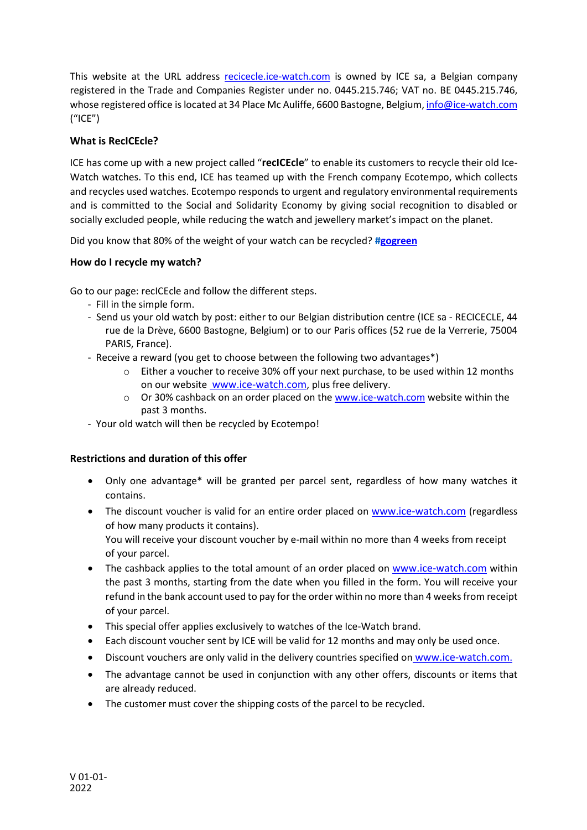This website at the URL address [recicecle.ice-watch.com](http://recicecle.ice-watch.com/) is owned by ICE sa, a Belgian company registered in the Trade and Companies Register under no. 0445.215.746; VAT no. BE 0445.215.746, whose registered office is located at 34 Place Mc Auliffe, 6600 Bastogne, Belgium, info@ice-watch.com ("ICE")

## **What is RecICEcle?**

ICE has come up with a new project called "**recICEcle**" to enable its customers to recycle their old Ice-Watch watches. To this end, ICE has teamed up with the French company Ecotempo, which collects and recycles used watches. Ecotempo responds to urgent and regulatory environmental requirements and is committed to the Social and Solidarity Economy by giving social recognition to disabled or socially excluded people, while reducing the watch and jewellery market's impact on the planet.

Did you know that 80% of the weight of your watch can be recycled? **[#gogreen](https://ice-watch.com/en/go-green)**

## **How do I recycle my watch?**

Go to our page: recICEcle and follow the different steps.

- Fill in the simple form.
- Send us your old watch by post: either to our Belgian distribution centre (ICE sa RECICECLE, 44 rue de la Drève, 6600 Bastogne, Belgium) or to our Paris offices (52 rue de la Verrerie, 75004 PARIS, France).
- Receive a reward (you get to choose between the following two advantages\*)
	- o Either a voucher to receive 30% off your next purchase, to be used within 12 months on our websit[e www.ice-watch.com,](http://www.ice-watch.com/) plus free delivery.
	- $\circ$  Or 30% cashback on an order placed on the [www.ice-watch.com](http://www.ice-watch.com/) website within the past 3 months.
- Your old watch will then be recycled by Ecotempo!

## **Restrictions and duration of this offer**

- Only one advantage\* will be granted per parcel sent, regardless of how many watches it contains.
- The discount voucher is valid for an entire order placed on [www.ice-watch.com](http://www.ice-watch.com/) (regardless of how many products it contains).

You will receive your discount voucher by e-mail within no more than 4 weeks from receipt of your parcel.

- The cashback applies to the total amount of an order placed on [www.ice-watch.com](http://www.ice-watch.com/) within the past 3 months, starting from the date when you filled in the form. You will receive your refund in the bank account used to pay for the order within no more than 4 weeks from receipt of your parcel.
- This special offer applies exclusively to watches of the Ice-Watch brand.
- Each discount voucher sent by ICE will be valid for 12 months and may only be used once.
- Discount vouchers are only valid in the delivery countries specified on [www.ice-watch.com.](http://www.ice-watch.com/)
- The advantage cannot be used in conjunction with any other offers, discounts or items that are already reduced.
- The customer must cover the shipping costs of the parcel to be recycled.